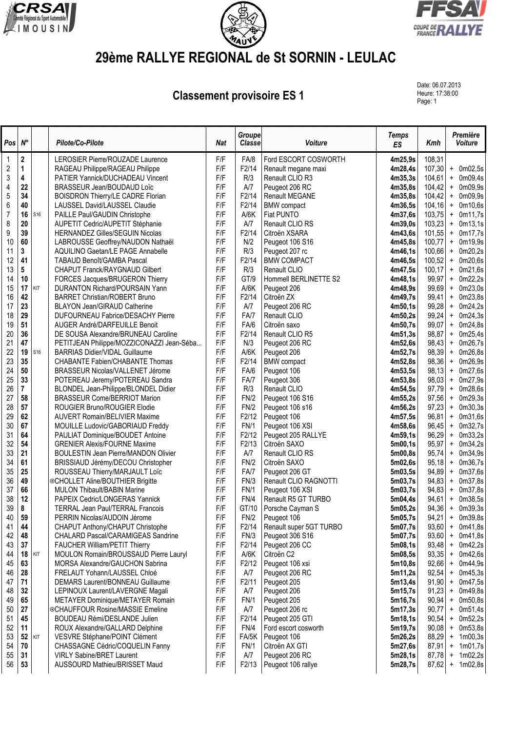





## **29ème RALLYE REGIONAL de St SORNIN - LEULAC**

**Classement provisoire ES 1** 

Date: 06.07.2013<br>Heure: 17:38:00 Page: 1

| Pos            | $N^{\circ}$ |     | Pilote/Co-Pilote                                                  | <b>Nat</b> | Groupe<br><b>Classe</b> | Voiture                              | <b>Temps</b><br>ES | Kmh             | Première<br><b>Voiture</b>        |
|----------------|-------------|-----|-------------------------------------------------------------------|------------|-------------------------|--------------------------------------|--------------------|-----------------|-----------------------------------|
| 1              | 2           |     | LEROSIER Pierre/ROUZADE Laurence                                  | F/F        | FA/8                    | Ford ESCORT COSWORTH                 | 4m25,9s            | 108,31          |                                   |
| $\overline{c}$ | 1           |     | RAGEAU Philippe/RAGEAU Philippe                                   | F/F        | F2/14                   | Renault megane maxi                  | 4m28,4s            | 107,30          | + 0m02,5s                         |
| 3              | 4           |     | PATIER Yannick/DUCHADEAU Vincent                                  | F/F        | R/3                     | Renault CLIO R3                      | 4m35,3s            | 104,61          | $+$ 0m09,4s                       |
| 4              | 22          |     | BRASSEUR Jean/BOUDAUD Loïc                                        | F/F        | A/7                     | Peugeot 206 RC                       | 4m35,8s            | 104,42          | $+$ 0m09,9s                       |
| 5              | 34          |     | <b>BOISDRON Thierry/LE CADRE Florian</b>                          | F/F        | F2/14                   | <b>Renault MEGANE</b>                | 4m35,8s            | 104,42          | 0m09,9s<br>$\ddot{}$              |
| 6              | 40          |     | LAUSSEL David/LAUSSEL Claudie                                     | F/F        | F2/14                   | <b>BMW</b> compact                   | 4m36,5s            | 104, 16         | 0m10,6s<br>$\ddot{}$              |
| 7              | 16          | S16 | PAILLE Paul/GAUDIN Christophe                                     | F/F        | A/6K                    | Fiat PUNTO                           | 4m37,6s            | 103,75          | 0m11,7s<br>$\ddot{}$              |
| 8              | 20          |     | AUPETIT Cedric/AUPETIT Stéphanie                                  | F/F        | A/7                     | Renault CLIO RS                      | 4m39,0s            | 103,23          | 0m13,1s<br>$+$                    |
| 9              | 39          |     | <b>HERNANDEZ Gilles/SEGUIN Nicolas</b>                            | F/F        | F2/14                   | Citroën XSARA                        | 4m43,6s            | 101,55          | 0m17,7s<br>$\ddot{}$              |
| 10             | 60          |     | LABROUSSE Geoffrey/NAUDON Nathaël                                 | F/F        | N/2                     | Peugeot 106 S16                      | 4m45,8s            | 100,77          | 0m19,9s<br>$\ddot{}$              |
| 11             | 3           |     | AQUILINO Gaetan/LE PAGE Annabelle                                 | F/F        | R/3                     | Peugeot 207 rc                       | 4m46,1s            | 100,66          | 0m20,2s<br>$\ddot{}$              |
| 12             | 41          |     | TABAUD Benoît/GAMBA Pascal                                        | F/F        | F2/14                   | <b>BMW COMPACT</b>                   | 4m46,5s            | 100,52          | 0m20,6s<br>$\ddot{}$              |
| 13<br>14       | 5<br>10     |     | <b>CHAPUT Franck/RAYGNAUD Gilbert</b>                             | F/F<br>F/F | R/3<br>GT/9             | Renault CLIO                         | 4m47,5s<br>4m48,1s | 100,17<br>99,97 | $+$ 0m21,6s<br>0m22,2s            |
| 15             | 17          | KIT | FORCES Jacques/BRUGERON Thierry<br>DURANTON Richard/POURSAIN Yann | F/F        | A/6K                    | Hommell BERLINETTE S2<br>Peugeot 206 | 4m48,9s            | 99,69           | $\ddot{}$<br>0m23,0s<br>$\ddot{}$ |
| 16             | 42          |     | <b>BARRET Christian/ROBERT Bruno</b>                              | F/F        | F2/14                   | Citroën ZX                           | 4m49,7s            | 99,41           | 0m23,8s<br>$\ddot{}$              |
| 17             | 23          |     | <b>BLAYON Jean/GIRAUD Catherine</b>                               | F/F        | A/7                     | Peugeot 206 RC                       | 4m50,1s            | 99,28           | 0m24,2s<br>$\ddot{}$              |
| 18             | 29          |     | DUFOURNEAU Fabrice/DESACHY Pierre                                 | F/F        | FA/7                    | Renault CLIO                         | 4m50,2s            | 99,24           | 0m24,3s<br>$\ddot{}$              |
| 19             | 51          |     | AUGER André/DARFEUILLE Benoit                                     | F/F        | FA/6                    | Citroën saxo                         | 4m50,7s            | 99,07           | 0m24,8s<br>$\pmb{+}$              |
| 20             | 36          |     | DE SOUSA Alexandre/BRUNEAU Caroline                               | F/F        | F2/14                   | Renault CLIO R5                      | 4m51,3s            | 98,87           | 0m25,4s<br>$\ddot{}$              |
| 21             | 47          |     | PETITJEAN Philippe/MOZZICONAZZI Jean-Séba                         | F/F        | N/3                     | Peugeot 206 RC                       | 4m52,6s            | 98,43           | 0m26,7s<br>$\ddot{}$              |
| 22             | 19          | S16 | <b>BARRIAS Didier/VIDAL Guillaume</b>                             | F/F        | A/6K                    | Peugeot 206                          | 4m52,7s            | 98,39           | 0m26,8s<br>$\ddot{}$              |
| 23             | 35          |     | <b>CHABANTE Fabien/CHABANTE Thomas</b>                            | F/F        | F2/14                   | <b>BMW</b> compact                   | 4m52.8s            | 98,36           | 0m26,9s<br>$\ddot{}$              |
| 24             | 50          |     | BRASSEUR Nicolas/VALLENET Jérome                                  | F/F        | FA/6                    | Peugeot 106                          | 4m53,5s            | 98,13           | 0m27,6s<br>$+$                    |
| 25             | 33          |     | POTEREAU Jeremy/POTEREAU Sandra                                   | F/F        | FA/7                    | Peugeot 306                          | 4m53,8s            | 98,03           | 0m27,9s<br>$+$                    |
| 26             | 7           |     | BLONDEL Jean-Philippe/BLONDEL Didier                              | F/F        | R/3                     | Renault CLIO                         | 4m54,5s            | 97,79           | 0m28,6s<br>$\ddot{}$              |
| 27             | 58          |     | <b>BRASSEUR Come/BERRIOT Marion</b>                               | F/F        | FN/2                    | Peugeot 106 S16                      | 4m55,2s            | 97,56           | 0m29,3s<br>$\ddot{}$              |
| 28             | 57          |     | ROUGIER Bruno/ROUGIER Elodie                                      | F/F        | FN/2                    | Peugeot 106 s16                      | 4m56,2s            | 97,23           | 0m30,3s<br>$\ddot{}$              |
| 29             | 62          |     | <b>AUVERT Romain/BELIVIER Maxime</b>                              | F/F        | F2/12                   | Peugeot 106                          | 4m57,5s            | 96,81           | 0m31,6s<br>$\ddot{}$              |
| 30             | 67          |     | MOUILLE Ludovic/GABORIAUD Freddy                                  | F/F        | <b>FN/1</b>             | Peugeot 106 XSI                      | 4m58,6s            | 96,45           | 0m32,7s<br>$\ddot{}$              |
| 31             | 64          |     | PAULIAT Dominique/BOUDET Antoine                                  | F/F        | F2/12                   | Peugeot 205 RALLYE                   | 4m59,1s            | 96,29           | 0m33,2s<br>$\ddot{}$              |
| 32             | 54          |     | <b>GRENIER Alexis/FOURNE Maxime</b>                               | F/F        | F2/13                   | Citroën SAXO                         | 5m00,1s            | 95,97           | 0m34,2s<br>$\ddot{}$              |
| 33             | 21          |     | <b>BOULESTIN Jean Pierre/MANDON Olivier</b>                       | F/F        | A/7                     | Renault CLIO RS                      | 5m00,8s            | 95,74           | 0m34,9s<br>$\ddot{}$              |
| 34             | 61          |     | BRISSIAUD Jérémy/DECOU Christopher                                | F/F        | FN/2                    | Citroën SAXO                         | 5m02,6s            | 95,18           | 0m36,7s<br>$\ddot{}$              |
| 35             | 25          |     | ROUSSEAU Thierry/MARJAULT Loïc                                    | F/F        | FA/7                    | Peugeot 206 GT                       | 5m03,5s            | 94,89           | 0m37,6s<br>$\ddot{}$              |
| 36             | 49          |     | ©CHOLLET Aline/BOUTHIER Brigitte                                  | F/F        | FN/3                    | Renault CLIO RAGNOTTI                | 5m03,7s            | 94,83           | 0m37,8s<br>$\ddot{}$              |
| 37             | 66          |     | MULON Thibault/BABIN Marine                                       | F/F        | <b>FN/1</b>             | Peugeot 106 XSI                      | 5m03,7s            | 94,83           | 0m37,8s<br>$\ddot{}$              |
| 38             | 12          |     | PAPEIX Cedric/LONGERAS Yannick                                    | F/F        | FN/4                    | Renault R5 GT TURBO                  | 5m04,4s            | 94,61           | + 0m38,5s                         |
| 39             | 8           |     | <b>TERRAL Jean Paul/TERRAL Francois</b>                           | F/F        | GT/10                   | Porsche Cayman S                     | 5m05,2s            | 94,36           | $+$ 0m39,3s                       |
| 40             | 59          |     | PERRIN Nicolas/AUDOIN Jérome                                      | F/F        | FN/2                    | Peugeot 106                          | 5m05,7s            | 94,21           | $+$ 0m39,8s                       |
| 41             | 44          |     | CHAPUT Anthony/CHAPUT Christophe                                  | F/F        | F2/14                   | Renault super 5GT TURBO              | 5m07,7s            | 93,60           | 0m41,8s<br>$\ddot{}$              |
| 42             | 48          |     | CHALARD Pascal/CARAMIGEAS Sandrine                                | F/F        | FN/3                    | Peugeot 306 S16                      | 5m07,7s            | 93,60           | 0m41,8s<br>$\ddot{}$              |
| 43             | 37          |     | FAUCHER William/PETIT Thierry                                     | F/F        | F2/14                   | Peugeot 206 CC                       | 5m08,1s            | 93,48           | 0m42,2s<br>$\ddot{}$              |
| 44             | 18          | KIT | MOULON Romain/BROUSSAUD Pierre Lauryl                             | F/F        | A/6K<br>F2/12           | Citroën C2                           | 5m08,5s            | 93,35           | 0m42,6s<br>$\ddot{}$              |
| 45             | 63<br>28    |     | MORSA Alexandre/GAUCHON Sabrina<br>FRELAUT Yohann/LAUSSEL Chloé   | F/F<br>F/F | A/7                     | Peugeot 106 xsi<br>Peugeot 206 RC    | 5m10,8s<br>5m11,2s | 92,66<br>92,54  | 0m44,9s<br>$\ddot{}$<br>0m45,3s   |
| 46<br>47       | 71          |     | DEMARS Laurent/BONNEAU Guillaume                                  | F/F        | F2/11                   | Peugeot 205                          | 5m13,4s            | 91,90           | $\ddot{}$<br>0m47,5s<br>$\ddot{}$ |
| 48             | 32          |     | LEPINOUX Laurent/LAVERGNE Magali                                  | F/F        | A/7                     | Peugeot 206                          | 5m15,7s            | 91,23           | 0m49,8s<br>$\ddot{}$              |
| 49             | 65          |     | METAYER Dominique/METAYER Romain                                  | F/F        | FN/1                    | Peugeot 205                          | 5m16,7s            | 90,94           | 0m50,8s<br>$\ddot{}$              |
| 50             | 27          |     | ©CHAUFFOUR Rosine/MASSIE Emeline                                  | F/F        | A/7                     | Peugeot 206 rc                       | 5m17.3s            | 90,77           | 0m51,4s<br>$\ddot{}$              |
| 51             | 45          |     | <b>BOUDEAU Rémi/DESLANDE Julien</b>                               | F/F        | F2/14                   | Peugeot 205 GTI                      | 5m18,1s            | 90,54           | 0m52,2s<br>$\ddot{}$              |
| 52             | 11          |     | ROUX Alexandre/GALLARD Delphine                                   | F/F        | FN/4                    | Ford escort cosworth                 | 5m19,7s            | 90,08           | 0m53,8s<br>$\ddot{}$              |
| 53             | 52          | KIT | VESVRE Stéphane/POINT Clément                                     | F/F        | FA/5K                   | Peugeot 106                          | 5m26,2s            | 88,29           | 1m00,3s<br>$\ddot{}$              |
| 54             | 70          |     | CHASSAGNE Cédric/COQUELIN Fanny                                   | F/F        | FN/1                    | Citroën AX GTI                       | 5m27,6s            | 87,91           | 1m01,7s<br>$\ddot{}$              |
| 55             | 31          |     | <b>VIRLY Sabine/BRET Laurent</b>                                  | F/F        | A/7                     | Peugeot 206 RC                       | 5m28,1s            | 87,78           | 1m02,2s<br>$\ddot{}$              |
| 56             | 53          |     | AUSSOURD Mathieu/BRISSET Maud                                     | F/F        | F2/13                   | Peugeot 106 rallye                   | 5m28,7s            | 87,62           | 1m02,8s<br>$\pmb{+}$              |
|                |             |     |                                                                   |            |                         |                                      |                    |                 |                                   |